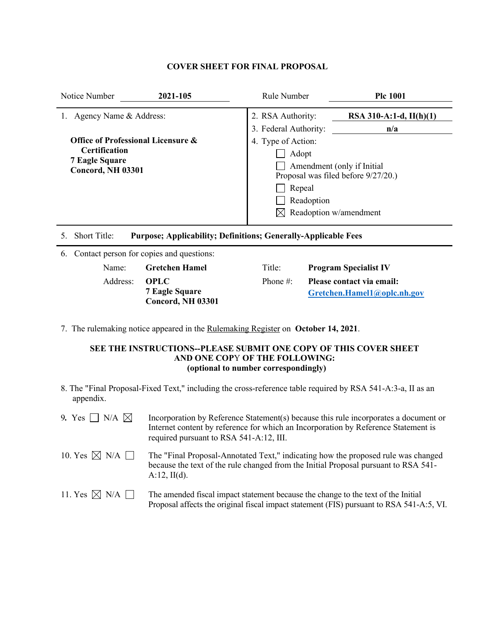## **COVER SHEET FOR FINAL PROPOSAL**

| Notice Number                                                                                                                         | 2021-105                                                              | Rule Number | <b>Plc 1001</b>                                                                                                                                                                                                                      |  |  |
|---------------------------------------------------------------------------------------------------------------------------------------|-----------------------------------------------------------------------|-------------|--------------------------------------------------------------------------------------------------------------------------------------------------------------------------------------------------------------------------------------|--|--|
| 1. Agency Name & Address:<br>Office of Professional Licensure &<br><b>Certification</b><br><b>7 Eagle Square</b><br>Concord, NH 03301 |                                                                       |             | 2. RSA Authority:<br>RSA 310-A:1-d, $II(h)(1)$<br>3. Federal Authority:<br>n/a<br>4. Type of Action:<br>Adopt<br>Amendment (only if Initial<br>Proposal was filed before 9/27/20.)<br>Repeal<br>Readoption<br>Readoption w/amendment |  |  |
| Short Title:<br>5.                                                                                                                    | <b>Purpose; Applicability; Definitions; Generally-Applicable Fees</b> |             |                                                                                                                                                                                                                                      |  |  |
| 6.                                                                                                                                    | Contact person for copies and questions:                              |             |                                                                                                                                                                                                                                      |  |  |
| Name:                                                                                                                                 | <b>Gretchen Hamel</b>                                                 | Title:      | <b>Program Specialist IV</b>                                                                                                                                                                                                         |  |  |
| Address:                                                                                                                              | <b>OPLC</b><br><b>7 Eagle Square</b>                                  | Phone #:    | Please contact via email:<br>Gretchen.Hamel1@oplc.nh.gov                                                                                                                                                                             |  |  |

7. The rulemaking notice appeared in the Rulemaking Register on **October 14, 2021**.

**Concord, NH 03301**

### **SEE THE INSTRUCTIONS--PLEASE SUBMIT ONE COPY OF THIS COVER SHEET AND ONE COP**Y **OF THE FOLLOWING: (optional to number correspondingly)**

8. The "Final Proposal-Fixed Text," including the cross-reference table required by RSA 541-A:3-a, II as an appendix.

| 9. Yes $\Box$ N/A $\boxtimes$  | Incorporation by Reference Statement(s) because this rule incorporates a document or<br>Internet content by reference for which an Incorporation by Reference Statement is<br>required pursuant to RSA 541-A:12, III. |
|--------------------------------|-----------------------------------------------------------------------------------------------------------------------------------------------------------------------------------------------------------------------|
| 10. Yes $\boxtimes$ N/A $\Box$ | The "Final Proposal-Annotated Text," indicating how the proposed rule was changed<br>because the text of the rule changed from the Initial Proposal pursuant to RSA 541-<br>A:12, H(d).                               |
| 11. Yes $\boxtimes$ N/A $\Box$ | The amended fiscal impact statement because the change to the text of the Initial<br>Proposal affects the original fiscal impact statement (FIS) pursuant to RSA 541-A:5, VI.                                         |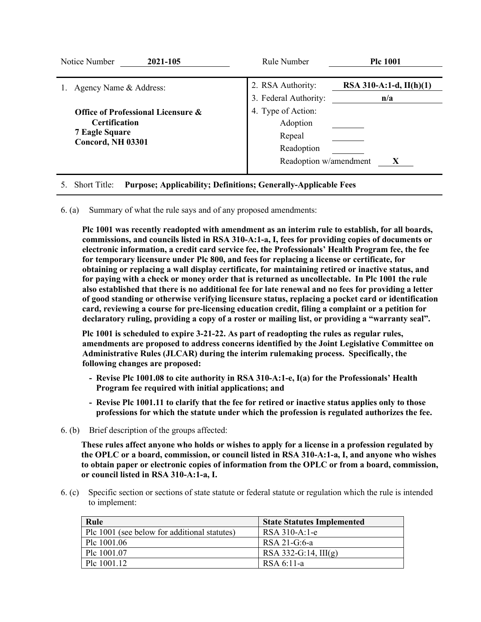| Notice Number<br>2021-105                     | Rule Number            | <b>Plc 1001</b>           |
|-----------------------------------------------|------------------------|---------------------------|
|                                               |                        |                           |
| Agency Name & Address:                        | 2. RSA Authority:      | RSA 310-A:1-d, $II(h)(1)$ |
|                                               | 3. Federal Authority:  | n/a                       |
| <b>Office of Professional Licensure &amp;</b> | 4. Type of Action:     |                           |
| <b>Certification</b>                          | Adoption               |                           |
| <b>7 Eagle Square</b>                         | Repeal                 |                           |
| <b>Concord, NH 03301</b>                      | Readoption             |                           |
|                                               | Readoption w/amendment |                           |

### 5. Short Title: **Purpose; Applicability; Definitions; Generally-Applicable Fees**

6. (a) Summary of what the rule says and of any proposed amendments:

**Plc 1001 was recently readopted with amendment as an interim rule to establish, for all boards, commissions, and councils listed in RSA 310-A:1-a, I, fees for providing copies of documents or electronic information, a credit card service fee, the Professionals' Health Program fee, the fee for temporary licensure under Plc 800, and fees for replacing a license or certificate, for obtaining or replacing a wall display certificate, for maintaining retired or inactive status, and for paying with a check or money order that is returned as uncollectable. In Plc 1001 the rule also established that there is no additional fee for late renewal and no fees for providing a letter of good standing or otherwise verifying licensure status, replacing a pocket card or identification card, reviewing a course for pre-licensing education credit, filing a complaint or a petition for declaratory ruling, providing a copy of a roster or mailing list, or providing a "warranty seal".** 

**Plc 1001 is scheduled to expire 3-21-22. As part of readopting the rules as regular rules, amendments are proposed to address concerns identified by the Joint Legislative Committee on Administrative Rules (JLCAR) during the interim rulemaking process. Specifically, the following changes are proposed:**

- **- Revise Plc 1001.08 to cite authority in RSA 310-A:1-e, I(a) for the Professionals' Health Program fee required with initial applications; and**
- **- Revise Plc 1001.11 to clarify that the fee for retired or inactive status applies only to those professions for which the statute under which the profession is regulated authorizes the fee.**
- 6. (b) Brief description of the groups affected:

**These rules affect anyone who holds or wishes to apply for a license in a profession regulated by the OPLC or a board, commission, or council listed in RSA 310-A:1-a, I, and anyone who wishes to obtain paper or electronic copies of information from the OPLC or from a board, commission, or council listed in RSA 310-A:1-a, I.**

6. (c) Specific section or sections of state statute or federal statute or regulation which the rule is intended to implement:

| Rule                                         | <b>State Statutes Implemented</b> |
|----------------------------------------------|-----------------------------------|
| Plc 1001 (see below for additional statutes) | RSA 310-A:1-e                     |
| Plc $1001.06$                                | RSA 21-G:6-a                      |
| Plc 1001.07                                  | RSA 332-G:14, $III(g)$            |
| Plc $1001.12$                                | RSA 6:11-a                        |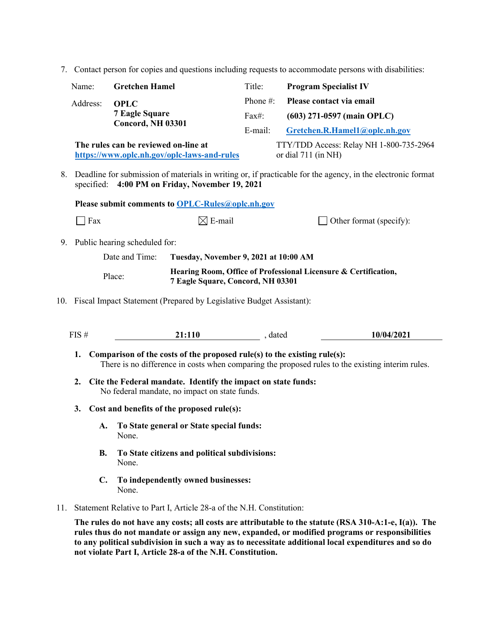7. Contact person for copies and questions including requests to accommodate persons with disabilities:

|                                                         | Name:                                                                                                                                                             | <b>Gretchen Hamel</b>                |                                                                                                                                                                                            | Title:                       | <b>Program Specialist IV</b> |                                                                                                  |
|---------------------------------------------------------|-------------------------------------------------------------------------------------------------------------------------------------------------------------------|--------------------------------------|--------------------------------------------------------------------------------------------------------------------------------------------------------------------------------------------|------------------------------|------------------------------|--------------------------------------------------------------------------------------------------|
|                                                         | Address:                                                                                                                                                          | <b>OPLC</b>                          |                                                                                                                                                                                            | Phone #:                     | Please contact via email     |                                                                                                  |
|                                                         | <b>7 Eagle Square</b>                                                                                                                                             |                                      | Fax#:                                                                                                                                                                                      | $(603)$ 271-0597 (main OPLC) |                              |                                                                                                  |
|                                                         | Concord, NH 03301                                                                                                                                                 |                                      |                                                                                                                                                                                            | E-mail:                      |                              | Gretchen.R.Hamel1@oplc.nh.gov                                                                    |
|                                                         |                                                                                                                                                                   | The rules can be reviewed on-line at | https://www.oplc.nh.gov/oplc-laws-and-rules                                                                                                                                                |                              | or dial 711 (in NH)          | TTY/TDD Access: Relay NH 1-800-735-2964                                                          |
|                                                         | 8. Deadline for submission of materials in writing or, if practicable for the agency, in the electronic format<br>specified: 4:00 PM on Friday, November 19, 2021 |                                      |                                                                                                                                                                                            |                              |                              |                                                                                                  |
|                                                         |                                                                                                                                                                   |                                      | Please submit comments to OPLC-Rules@oplc.nh.gov                                                                                                                                           |                              |                              |                                                                                                  |
|                                                         | $\overline{\phantom{a}}$ Fax                                                                                                                                      |                                      | $\boxtimes$ E-mail                                                                                                                                                                         |                              |                              | Other format (specify):                                                                          |
|                                                         |                                                                                                                                                                   | 9. Public hearing scheduled for:     |                                                                                                                                                                                            |                              |                              |                                                                                                  |
| Date and Time:<br>Tuesday, November 9, 2021 at 10:00 AM |                                                                                                                                                                   |                                      |                                                                                                                                                                                            |                              |                              |                                                                                                  |
|                                                         | Hearing Room, Office of Professional Licensure & Certification,<br>Place:<br>7 Eagle Square, Concord, NH 03301                                                    |                                      |                                                                                                                                                                                            |                              |                              |                                                                                                  |
|                                                         | 10. Fiscal Impact Statement (Prepared by Legislative Budget Assistant):                                                                                           |                                      |                                                                                                                                                                                            |                              |                              |                                                                                                  |
|                                                         | FIS#                                                                                                                                                              |                                      | 21:110                                                                                                                                                                                     | , dated                      |                              | 10/04/2021                                                                                       |
|                                                         | 1.<br>2.                                                                                                                                                          |                                      | Comparison of the costs of the proposed rule(s) to the existing rule(s):<br>Cite the Federal mandate. Identify the impact on state funds:<br>No federal mandate, no impact on state funds. |                              |                              | There is no difference in costs when comparing the proposed rules to the existing interim rules. |
|                                                         | Cost and benefits of the proposed rule(s):<br>3.                                                                                                                  |                                      |                                                                                                                                                                                            |                              |                              |                                                                                                  |
|                                                         |                                                                                                                                                                   | A.<br>None.                          | To State general or State special funds:                                                                                                                                                   |                              |                              |                                                                                                  |
|                                                         |                                                                                                                                                                   | <b>B.</b><br>None.                   | To State citizens and political subdivisions:                                                                                                                                              |                              |                              |                                                                                                  |

- **C. To independently owned businesses:** None.
- 11. Statement Relative to Part I, Article 28-a of the N.H. Constitution:

**The rules do not have any costs; all costs are attributable to the statute (RSA 310-A:1-e, I(a)). The rules thus do not mandate or assign any new, expanded, or modified programs or responsibilities to any political subdivision in such a way as to necessitate additional local expenditures and so do not violate Part I, Article 28-a of the N.H. Constitution.**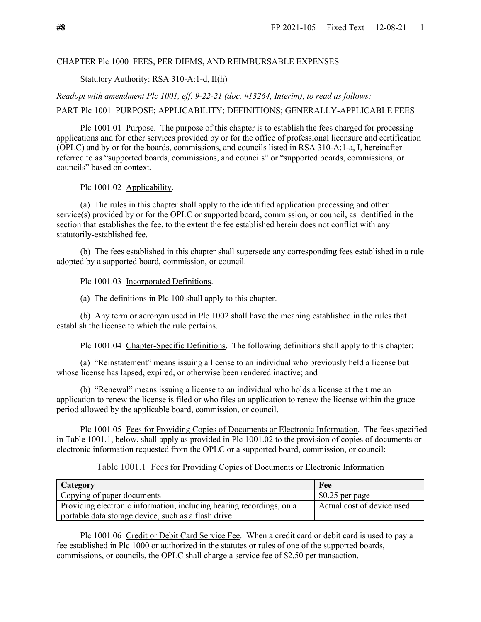### CHAPTER Plc 1000 FEES, PER DIEMS, AND REIMBURSABLE EXPENSES

Statutory Authority: RSA 310-A:1-d, II(h)

*Readopt with amendment Plc 1001, eff. 9-22-21 (doc. #13264, Interim), to read as follows:*

PART Plc 1001 PURPOSE; APPLICABILITY; DEFINITIONS; GENERALLY-APPLICABLE FEES

Plc 1001.01 Purpose. The purpose of this chapter is to establish the fees charged for processing applications and for other services provided by or for the office of professional licensure and certification (OPLC) and by or for the boards, commissions, and councils listed in RSA 310-A:1-a, I, hereinafter referred to as "supported boards, commissions, and councils" or "supported boards, commissions, or councils" based on context.

Plc 1001.02 Applicability.

(a) The rules in this chapter shall apply to the identified application processing and other service(s) provided by or for the OPLC or supported board, commission, or council, as identified in the section that establishes the fee, to the extent the fee established herein does not conflict with any statutorily-established fee.

(b) The fees established in this chapter shall supersede any corresponding fees established in a rule adopted by a supported board, commission, or council.

Plc 1001.03 Incorporated Definitions.

(a) The definitions in Plc 100 shall apply to this chapter.

(b) Any term or acronym used in Plc 1002 shall have the meaning established in the rules that establish the license to which the rule pertains.

Plc 1001.04 Chapter-Specific Definitions. The following definitions shall apply to this chapter:

(a) "Reinstatement" means issuing a license to an individual who previously held a license but whose license has lapsed, expired, or otherwise been rendered inactive; and

(b) "Renewal" means issuing a license to an individual who holds a license at the time an application to renew the license is filed or who files an application to renew the license within the grace period allowed by the applicable board, commission, or council.

Plc 1001.05 Fees for Providing Copies of Documents or Electronic Information. The fees specified in Table 1001.1, below, shall apply as provided in Plc 1001.02 to the provision of copies of documents or electronic information requested from the OPLC or a supported board, commission, or council:

### Table 1001.1 Fees for Providing Copies of Documents or Electronic Information

| Category                                                             | Fee                        |
|----------------------------------------------------------------------|----------------------------|
| Copying of paper documents                                           | $$0.25$ per page           |
| Providing electronic information, including hearing recordings, on a | Actual cost of device used |
| portable data storage device, such as a flash drive                  |                            |

Plc 1001.06 Credit or Debit Card Service Fee. When a credit card or debit card is used to pay a fee established in Plc 1000 or authorized in the statutes or rules of one of the supported boards, commissions, or councils, the OPLC shall charge a service fee of \$2.50 per transaction.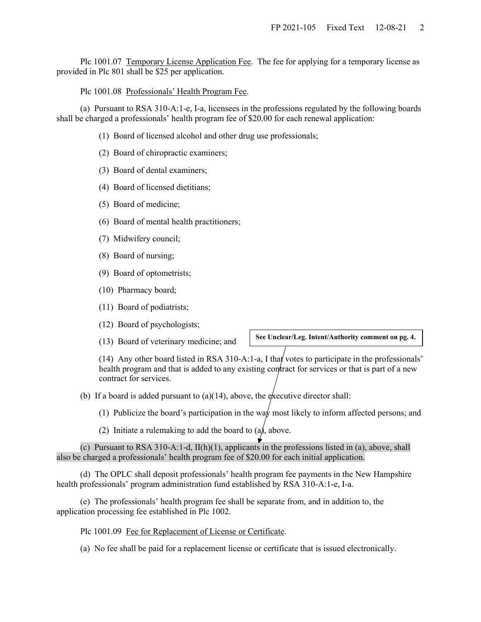Plc 1001.07 Temporary License Application Fee. The fee for applying for a temporary license as provided in Plc 801 shall be \$25 per application.

Plc 1001.08 Professionals' Health Program Fee.

(a) Pursuant to RSA 310-A:1-e, I-a, licensees in the professions regulated by the following boards shall be charged a professionals' health program fee of \$20.00 for each renewal application:

- (1) Board of licensed alcohol and other drug use professionals;
- (2) Board of chiropractic examiners;
- (3) Board of dental examiners;
- (4) Board of licensed dietitians;
- (5) Board of medicine;
- (6) Board of mental health practitioners;
- (7) Midwifery council;
- (8) Board of nursing;
- (9) Board of optometrists;
- (10) Pharmacy board;
- (11) Board of podiatrists;
- (12) Board of psychologists;
- (13) Board of veterinary medicine; and

**See Unclear/Leg. Intent/Authority comment on pg. 4.**

(14) Any other board listed in RSA 310-A:1-a, I that votes to participate in the professionals' health program and that is added to any existing contract for services or that is part of a new contract for services.

- (b) If a board is added pursuant to  $(a)(14)$ , above, the executive director shall:
	- (1) Publicize the board's participation in the way most likely to inform affected persons; and
	- (2) Initiate a rulemaking to add the board to  $(a)$ , above.

(c) Pursuant to RSA 310-A:1-d, II(h)(1), applicants in the professions listed in (a), above, shall also be charged a professionals' health program fee of \$20.00 for each initial application.

(d) The OPLC shall deposit professionals' health program fee payments in the New Hampshire health professionals' program administration fund established by RSA 310-A:1-e, I-a.

(e) The professionals' health program fee shall be separate from, and in addition to, the application processing fee established in Plc 1002.

Plc 1001.09 Fee for Replacement of License or Certificate.

(a) No fee shall be paid for a replacement license or certificate that is issued electronically.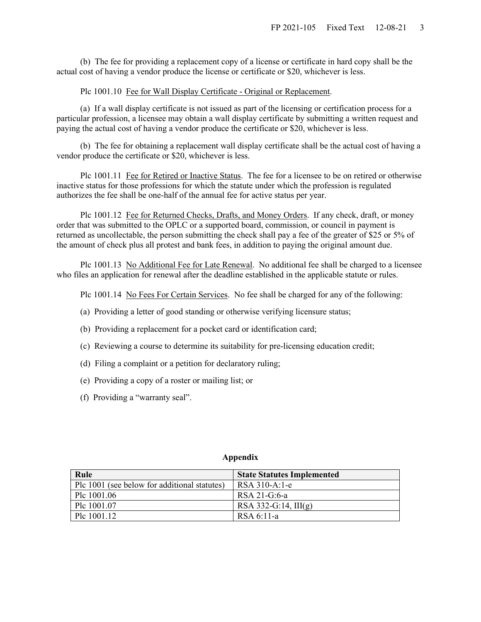(b) The fee for providing a replacement copy of a license or certificate in hard copy shall be the actual cost of having a vendor produce the license or certificate or \$20, whichever is less.

### Plc 1001.10 Fee for Wall Display Certificate - Original or Replacement.

(a) If a wall display certificate is not issued as part of the licensing or certification process for a particular profession, a licensee may obtain a wall display certificate by submitting a written request and paying the actual cost of having a vendor produce the certificate or \$20, whichever is less.

(b) The fee for obtaining a replacement wall display certificate shall be the actual cost of having a vendor produce the certificate or \$20, whichever is less.

Plc 1001.11 Fee for Retired or Inactive Status. The fee for a licensee to be on retired or otherwise inactive status for those professions for which the statute under which the profession is regulated authorizes the fee shall be one-half of the annual fee for active status per year.

Plc 1001.12 Fee for Returned Checks, Drafts, and Money Orders. If any check, draft, or money order that was submitted to the OPLC or a supported board, commission, or council in payment is returned as uncollectable, the person submitting the check shall pay a fee of the greater of \$25 or 5% of the amount of check plus all protest and bank fees, in addition to paying the original amount due.

Plc 1001.13 No Additional Fee for Late Renewal. No additional fee shall be charged to a licensee who files an application for renewal after the deadline established in the applicable statute or rules.

Plc 1001.14 No Fees For Certain Services. No fee shall be charged for any of the following:

- (a) Providing a letter of good standing or otherwise verifying licensure status;
- (b) Providing a replacement for a pocket card or identification card;
- (c) Reviewing a course to determine its suitability for pre-licensing education credit;
- (d) Filing a complaint or a petition for declaratory ruling;
- (e) Providing a copy of a roster or mailing list; or
- (f) Providing a "warranty seal".

| Rule                                         | <b>State Statutes Implemented</b> |
|----------------------------------------------|-----------------------------------|
| Plc 1001 (see below for additional statutes) | RSA 310-A:1-e                     |
| Plc 1001.06                                  | RSA 21-G:6-a                      |
| Plc 1001.07                                  | RSA 332-G:14, $III(g)$            |
| Plc 1001.12                                  | RSA 6:11-a                        |

#### **Appendix**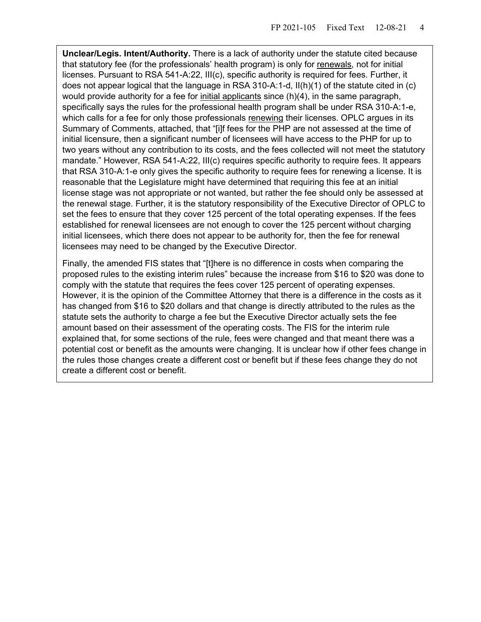**Unclear/Legis. Intent/Authority.** There is a lack of authority under the statute cited because that statutory fee (for the professionals' health program) is only for renewals, not for initial licenses. Pursuant to RSA 541-A:22, III(c), specific authority is required for fees. Further, it does not appear logical that the language in RSA 310-A:1-d, II(h)(1) of the statute cited in (c) would provide authority for a fee for initial applicants since  $(h)(4)$ , in the same paragraph, specifically says the rules for the professional health program shall be under RSA 310-A:1-e, which calls for a fee for only those professionals renewing their licenses. OPLC argues in its Summary of Comments, attached, that "[i]f fees for the PHP are not assessed at the time of initial licensure, then a significant number of licensees will have access to the PHP for up to two years without any contribution to its costs, and the fees collected will not meet the statutory mandate." However, RSA 541-A:22, III(c) requires specific authority to require fees. It appears that RSA 310-A:1-e only gives the specific authority to require fees for renewing a license. It is reasonable that the Legislature might have determined that requiring this fee at an initial license stage was not appropriate or not wanted, but rather the fee should only be assessed at the renewal stage. Further, it is the statutory responsibility of the Executive Director of OPLC to set the fees to ensure that they cover 125 percent of the total operating expenses. If the fees established for renewal licensees are not enough to cover the 125 percent without charging initial licensees, which there does not appear to be authority for, then the fee for renewal licensees may need to be changed by the Executive Director.

Finally, the amended FIS states that "[t]here is no difference in costs when comparing the proposed rules to the existing interim rules" because the increase from \$16 to \$20 was done to comply with the statute that requires the fees cover 125 percent of operating expenses. However, it is the opinion of the Committee Attorney that there is a difference in the costs as it has changed from \$16 to \$20 dollars and that change is directly attributed to the rules as the statute sets the authority to charge a fee but the Executive Director actually sets the fee amount based on their assessment of the operating costs. The FIS for the interim rule explained that, for some sections of the rule, fees were changed and that meant there was a potential cost or benefit as the amounts were changing. It is unclear how if other fees change in the rules those changes create a different cost or benefit but if these fees change they do not create a different cost or benefit.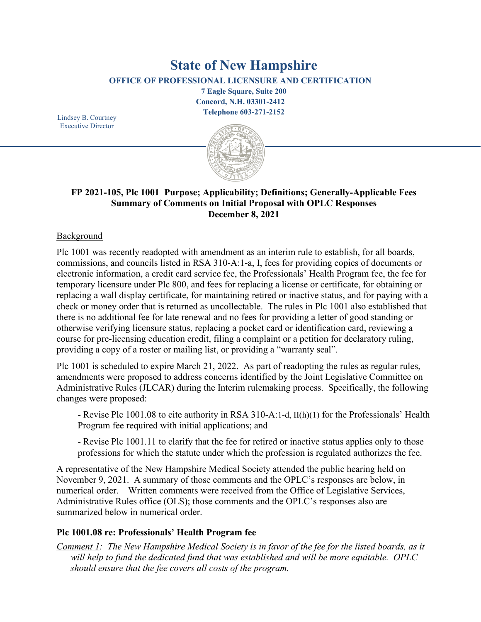# **State of New Hampshire**

**OFFICE OF PROFESSIONAL LICENSURE AND CERTIFICATION**

**7 Eagle Square, Suite 200 Concord, N.H. 03301-2412 Telephone 603-271-2152**

Lindsey B. Courtney Executive Director



# **FP 2021-105, Plc 1001 Purpose; Applicability; Definitions; Generally-Applicable Fees Summary of Comments on Initial Proposal with OPLC Responses December 8, 2021**

# Background

Plc 1001 was recently readopted with amendment as an interim rule to establish, for all boards, commissions, and councils listed in RSA 310-A:1-a, I, fees for providing copies of documents or electronic information, a credit card service fee, the Professionals' Health Program fee, the fee for temporary licensure under Plc 800, and fees for replacing a license or certificate, for obtaining or replacing a wall display certificate, for maintaining retired or inactive status, and for paying with a check or money order that is returned as uncollectable. The rules in Plc 1001 also established that there is no additional fee for late renewal and no fees for providing a letter of good standing or otherwise verifying licensure status, replacing a pocket card or identification card, reviewing a course for pre-licensing education credit, filing a complaint or a petition for declaratory ruling, providing a copy of a roster or mailing list, or providing a "warranty seal".

Plc 1001 is scheduled to expire March 21, 2022. As part of readopting the rules as regular rules, amendments were proposed to address concerns identified by the Joint Legislative Committee on Administrative Rules (JLCAR) during the Interim rulemaking process. Specifically, the following changes were proposed:

- Revise Plc 1001.08 to cite authority in RSA 310-A:1-d, II(h)(1) for the Professionals' Health Program fee required with initial applications; and

- Revise Plc 1001.11 to clarify that the fee for retired or inactive status applies only to those professions for which the statute under which the profession is regulated authorizes the fee.

A representative of the New Hampshire Medical Society attended the public hearing held on November 9, 2021. A summary of those comments and the OPLC's responses are below, in numerical order. Written comments were received from the Office of Legislative Services, Administrative Rules office (OLS); those comments and the OPLC's responses also are summarized below in numerical order.

# **Plc 1001.08 re: Professionals' Health Program fee**

*Comment 1: The New Hampshire Medical Society is in favor of the fee for the listed boards, as it will help to fund the dedicated fund that was established and will be more equitable. OPLC should ensure that the fee covers all costs of the program.*